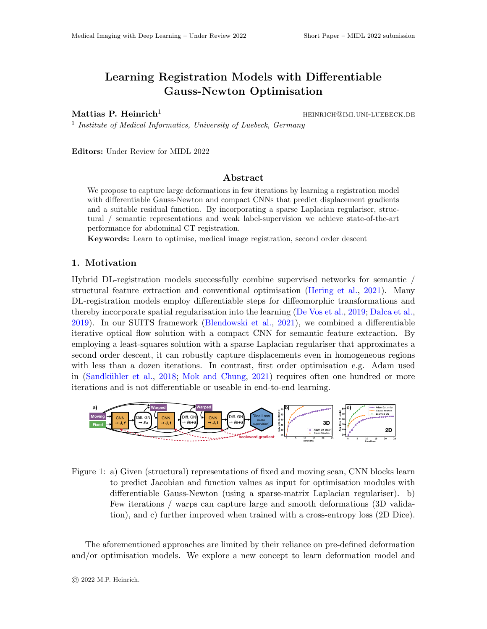# Learning Registration Models with Differentiable Gauss-Newton Optimisation

Mattias P. Heinrich<sup>1</sup>  $H^{\text{EINRICH@IMI. UNI-LUEBECK. DE}}$ 

<sup>1</sup> Institute of Medical Informatics, University of Luebeck, Germany

Editors: Under Review for MIDL 2022

### Abstract

We propose to capture large deformations in few iterations by learning a registration model with differentiable Gauss-Newton and compact CNNs that predict displacement gradients and a suitable residual function. By incorporating a sparse Laplacian regulariser, structural / semantic representations and weak label-supervision we achieve state-of-the-art performance for abdominal CT registration.

Keywords: Learn to optimise, medical image registration, second order descent

## 1. Motivation

Hybrid DL-registration models successfully combine supervised networks for semantic / structural feature extraction and conventional optimisation [\(Hering et al.,](#page-2-0) [2021\)](#page-2-0). Many DL-registration models employ differentiable steps for diffeomorphic transformations and thereby incorporate spatial regularisation into the learning [\(De Vos et al.,](#page-2-1) [2019;](#page-2-1) [Dalca et al.,](#page-2-2) [2019\)](#page-2-2). In our SUITS framework [\(Blendowski et al.,](#page-2-3) [2021\)](#page-2-3), we combined a differentiable iterative optical flow solution with a compact CNN for semantic feature extraction. By employing a least-squares solution with a sparse Laplacian regulariser that approximates a second order descent, it can robustly capture displacements even in homogeneous regions with less than a dozen iterations. In contrast, first order optimisation e.g. Adam used in (Sandkühler et al., [2018;](#page-2-4) [Mok and Chung,](#page-2-5) [2021\)](#page-2-5) requires often one hundred or more iterations and is not differentiable or useable in end-to-end learning. **vation**<br>D<sub>r</sub>-registration<br>I feature expansion modern corporate s<br>a our SUIT;<br>optical flow<br>g a least-square descent<br>than a dozarighter et all and is not els su<br>
and oy dif<br>
gulari<br>
work (<br>
n with ution<br>
robus<br>
iable<br>
and Charles (Margin Charles Charles Charles Charles Charles Charles Charles Charles Charles Charles Charles<br>
Diff. GN Ily combine superv<br>tional optimisation<br>able steps for diffec<br>into the learning (D<br>worski et al., 2021),<br>npact CNN for sen<br>sparse Laplacian re<br>ture displacements<br>ntrast, first order oung, 2021) require<br>ble in end-to-end le



<span id="page-0-0"></span>Figure 1: a) Given (structural) representations of fixed and moving scan, CNN blocks learn to predict Jacobian and function values as input for optimisation modules with differentiable Gauss-Newton (using a sparse-matrix Laplacian regulariser). b) Few iterations / warps can capture large and smooth deformations (3D validation), and c) further improved when trained with a cross-entropy loss (2D Dice).

The aforementioned approaches are limited by their reliance on pre-defined deformation and/or optimisation models. We explore a new concept to learn deformation model and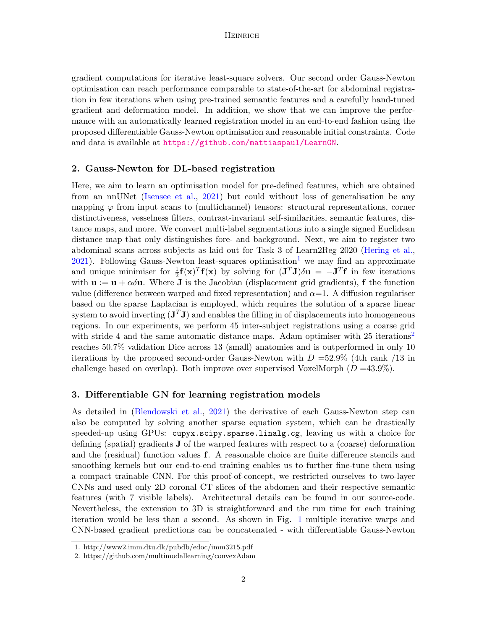#### **HEINRICH**

gradient computations for iterative least-square solvers. Our second order Gauss-Newton optimisation can reach performance comparable to state-of-the-art for abdominal registration in few iterations when using pre-trained semantic features and a carefully hand-tuned gradient and deformation model. In addition, we show that we can improve the performance with an automatically learned registration model in an end-to-end fashion using the proposed differentiable Gauss-Newton optimisation and reasonable initial constraints. Code and data is available at <https://github.com/mattiaspaul/LearnGN>.

#### 2. Gauss-Newton for DL-based registration

Here, we aim to learn an optimisation model for pre-defined features, which are obtained from an nnUNet [\(Isensee et al.,](#page-2-6) [2021\)](#page-2-6) but could without loss of generalisation be any mapping  $\varphi$  from input scans to (multichannel) tensors: structural representations, corner distinctiveness, vesselness filters, contrast-invariant self-similarities, semantic features, distance maps, and more. We convert multi-label segmentations into a single signed Euclidean distance map that only distinguishes fore- and background. Next, we aim to register two abdominal scans across subjects as laid out for Task 3 of Learn2Reg 2020 [\(Hering et al.,](#page-2-0)  $2021$  $2021$ ). Following Gauss-Newton least-squares optimisation<sup>1</sup> we may find an approximate and unique minimiser for  $\frac{1}{2}f(x)^T f(x)$  by solving for  $(J^T J)\delta u = -J^T f$  in few iterations with  $\mathbf{u} := \mathbf{u} + \alpha \delta \mathbf{u}$ . Where **J** is the Jacobian (displacement grid gradients), **f** the function value (difference between warped and fixed representation) and  $\alpha=1$ . A diffusion regulariser based on the sparse Laplacian is employed, which requires the solution of a sparse linear system to avoid inverting  $(\mathbf{J}^T \mathbf{J})$  and enables the filling in of displacements into homogeneous regions. In our experiments, we perform 45 inter-subject registrations using a coarse grid with stride 4 and the same automatic distance maps. Adam optimiser with  $25$  $25$  iterations<sup>2</sup> reaches 50.7% validation Dice across 13 (small) anatomies and is outperformed in only 10 iterations by the proposed second-order Gauss-Newton with  $D = 52.9\%$  (4th rank /13 in challenge based on overlap). Both improve over supervised VoxelMorph  $(D = 43.9\%).$ 

#### 3. Differentiable GN for learning registration models

As detailed in [\(Blendowski et al.,](#page-2-3) [2021\)](#page-2-3) the derivative of each Gauss-Newton step can also be computed by solving another sparse equation system, which can be drastically speeded-up using GPUs: cupyx.scipy.sparse.linalg.cg, leaving us with a choice for defining (spatial) gradients J of the warped features with respect to a (coarse) deformation and the (residual) function values f. A reasonable choice are finite difference stencils and smoothing kernels but our end-to-end training enables us to further fine-tune them using a compact trainable CNN. For this proof-of-concept, we restricted ourselves to two-layer CNNs and used only 2D coronal CT slices of the abdomen and their respective semantic features (with 7 visible labels). Architectural details can be found in our source-code. Nevertheless, the extension to 3D is straightforward and the run time for each training iteration would be less than a second. As shown in Fig. [1](#page-0-0) multiple iterative warps and CNN-based gradient predictions can be concatenated - with differentiable Gauss-Newton

<span id="page-1-0"></span><sup>1.</sup> http://www2.imm.dtu.dk/pubdb/edoc/imm3215.pdf

<span id="page-1-1"></span><sup>2.</sup> https://github.com/multimodallearning/convexAdam